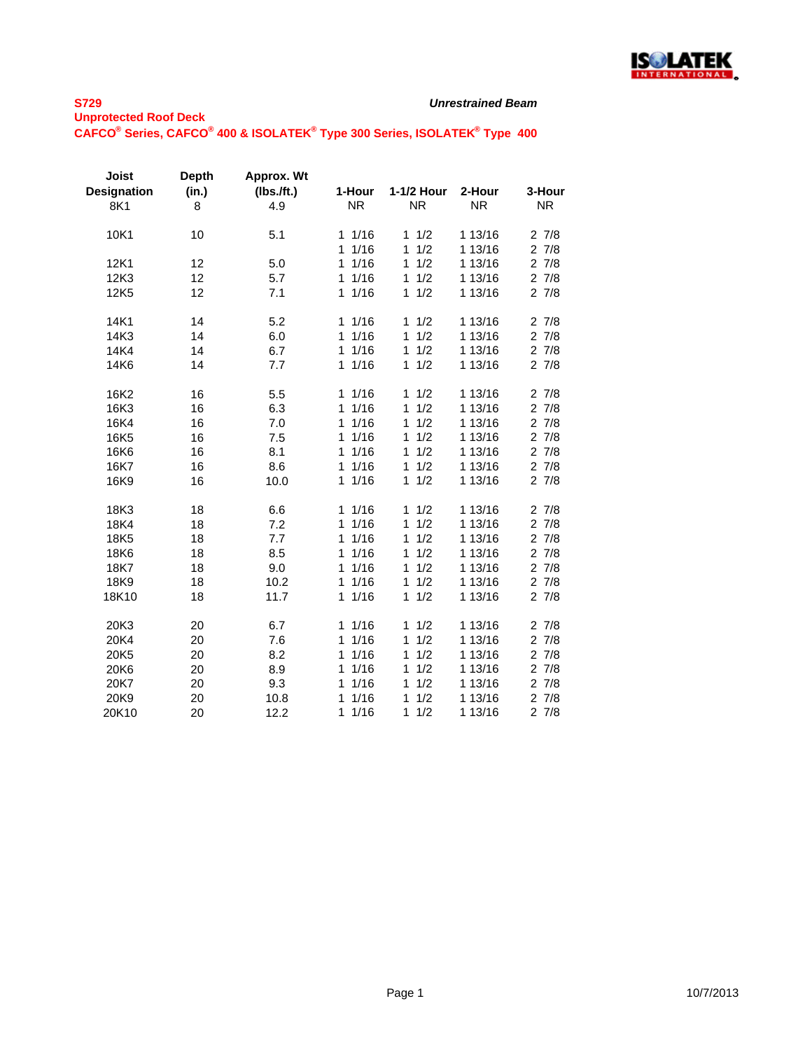

| Joist<br><b>Designation</b> | <b>Depth</b><br>(in.) | Approx. Wt<br>(Ibs.ft.)<br>4.9 | 1-Hour<br><b>NR</b>  | 1-1/2 Hour<br><b>NR</b> | 2-Hour<br><b>NR</b> | 3-Hour<br><b>NR</b> |
|-----------------------------|-----------------------|--------------------------------|----------------------|-------------------------|---------------------|---------------------|
| 8K1                         | 8                     |                                |                      |                         |                     |                     |
| 10K1                        | 10                    | 5.1                            | 11/16                | 1/2<br>1                | 1 13/16             | 27/8                |
|                             |                       |                                | 1/16<br>1.           | 1/2<br>1                | 1 13/16             | 27/8                |
| 12K1                        | 12                    | 5.0                            | 1/16<br>$\mathbf{1}$ | 1/2<br>1                | 1 13/16             | 27/8                |
| 12K3                        | 12                    | 5.7                            | 11/16                | 1/2<br>1                | 1 13/16             | 27/8                |
| 12K5                        | 12                    | 7.1                            | 1/16<br>1            | 1/2<br>$\mathbf{1}$     | 1 13/16             | 27/8                |
| 14K1                        | 14                    | 5.2                            | 1/16<br>1            | 1/2<br>1                | 1 13/16             | 27/8                |
| 14K3                        | 14                    | 6.0                            | 1/16<br>$\mathbf{1}$ | 1/2<br>1                | 1 13/16             | 27/8                |
| 14K4                        | 14                    | 6.7                            | 1/16<br>$\mathbf{1}$ | 1/2<br>1                | 1 13/16             | 27/8                |
| 14K6                        | 14                    | 7.7                            | 1/16<br>1            | 1/2<br>1                | 1 13/16             | 27/8                |
| 16K2                        | 16                    | 5.5                            | 1/16<br>1            | 1/2<br>1                | 1 13/16             | 27/8                |
| 16K3                        | 16                    | 6.3                            | 1/16<br>1            | 1/2<br>$\mathbf{1}$     | 1 13/16             | 27/8                |
| 16K4                        | 16                    | 7.0                            | 1/16<br>$\mathbf{1}$ | 1/2<br>$\mathbf{1}$     | 1 13/16             | 27/8                |
| 16K <sub>5</sub>            | 16                    | 7.5                            | 1/16<br>1            | 1/2<br>1                | 1 13/16             | $2 \t7/8$           |
| 16K6                        | 16                    | 8.1                            | 1/16<br>$\mathbf{1}$ | 1/2<br>$\mathbf{1}$     | 1 13/16             | 27/8                |
| 16K7                        | 16                    | 8.6                            | 1/16<br>$\mathbf{1}$ | 1/2<br>1                | 1 13/16             | 27/8                |
| 16K9                        | 16                    | 10.0                           | 1/16<br>$\mathbf{1}$ | $\mathbf{1}$<br>1/2     | 1 13/16             | 27/8                |
| 18K3                        | 18                    | 6.6                            | 11/16                | 1/2<br>$\mathbf{1}$     | 1 13/16             | 27/8                |
| 18K4                        | 18                    | 7.2                            | 1/16<br>1            | 1/2<br>$\mathbf{1}$     | 1 13/16             | 27/8                |
| 18K5                        | 18                    | 7.7                            | 1/16<br>1            | 1/2<br>1                | 1 13/16             | 27/8                |
| 18K6                        | 18                    | 8.5                            | 1/16<br>1            | 1/2<br>$\mathbf{1}$     | 1 13/16             | 27/8                |
| 18K7                        | 18                    | 9.0                            | 1/16<br>1            | 1/2<br>1                | 1 13/16             | 27/8                |
| 18K9                        | 18                    | 10.2                           | 1/16<br>1            | 1/2<br>1                | 1 13/16             | 27/8                |
| 18K10                       | 18                    | 11.7                           | 1/16<br>$\mathbf{1}$ | 1/2<br>1                | 1 13/16             | 27/8                |
| 20K3                        | 20                    | 6.7                            | 1/16<br>1            | 1/2<br>1                | 1 13/16             | 27/8                |
| 20K4                        | 20                    | 7.6                            | 1/16<br>1            | 1/2<br>1                | 1 13/16             | 27/8                |
| 20K5                        | 20                    | 8.2                            | 1/16<br>1            | 1/2<br>1                | 1 13/16             | 27/8                |
| 20K6                        | 20                    | 8.9                            | 1/16<br>1            | 1/2<br>1                | 1 13/16             | 27/8                |
| 20K7                        | 20                    | 9.3                            | 1/16<br>$\mathbf{1}$ | 1/2<br>1                | 1 13/16             | 27/8                |
| 20K9                        | 20                    | 10.8                           | 1/16<br>1            | 1/2<br>1                | 1 13/16             | 27/8                |
| 20K10                       | 20                    | 12.2                           | 1/16<br>1            | 1/2<br>1                | 1 13/16             | 27/8                |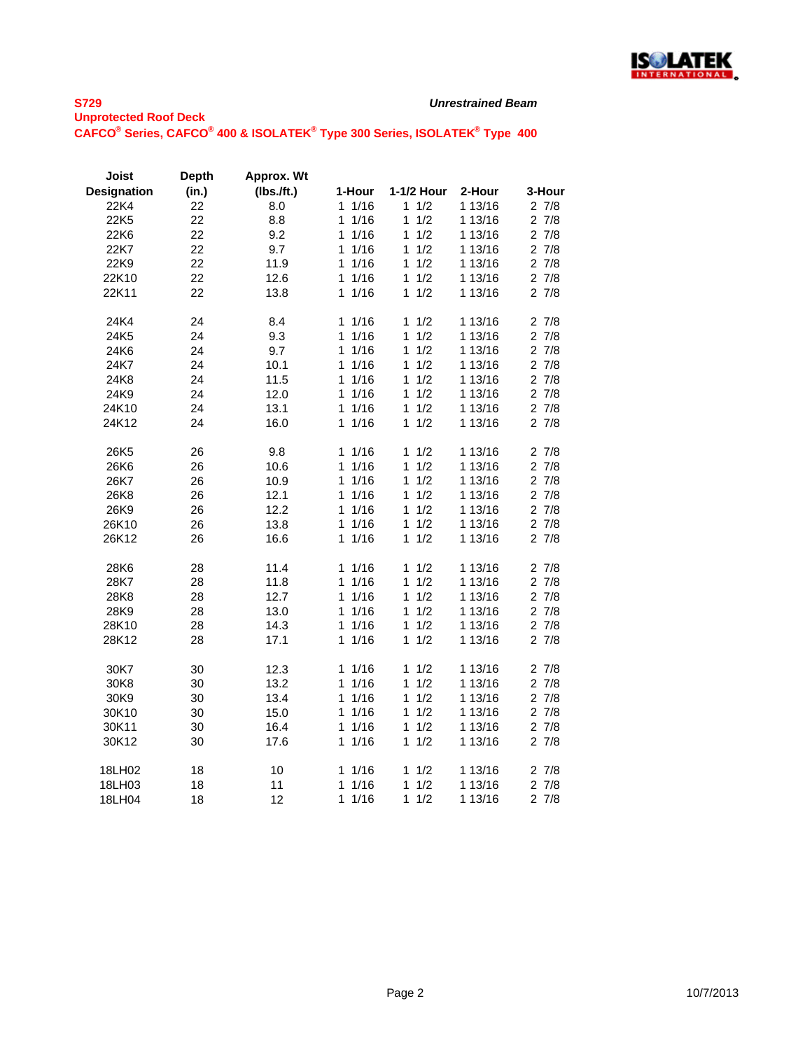

| Joist              | <b>Depth</b> | Approx. Wt    |                      |            |         |           |
|--------------------|--------------|---------------|----------------------|------------|---------|-----------|
| <b>Designation</b> | (in.)        | $(lbs.$ /ft.) | 1-Hour               | 1-1/2 Hour | 2-Hour  | 3-Hour    |
| 22K4               | 22           | 8.0           | 1/16<br>1            | 1/2<br>1   | 1 13/16 | 27/8      |
| 22K5               | 22           | 8.8           | 1/16<br>1            | 1/2<br>1   | 1 13/16 | $2 \t7/8$ |
| 22K6               | 22           | 9.2           | 1/16<br>1            | 1/2<br>1   | 1 13/16 | 27/8      |
| 22K7               | 22           | 9.7           | 1/16<br>1            | 1/2<br>1   | 1 13/16 | 27/8      |
| 22K9               | 22           | 11.9          | 1/16<br>1            | 1<br>1/2   | 1 13/16 | 27/8      |
| 22K10              | 22           | 12.6          | 1/16<br>1            | 1/2<br>1   | 1 13/16 | 27/8      |
| 22K11              | 22           | 13.8          | 1/16<br>1            | 1<br>1/2   | 1 13/16 | 27/8      |
| 24K4               | 24           | 8.4           | 1/16<br>1            | 1<br>1/2   | 1 13/16 | 27/8      |
| 24K5               | 24           | 9.3           | 1/16<br>1            | 1<br>1/2   | 1 13/16 | 27/8      |
| 24K6               | 24           | 9.7           | 1/16<br>1            | 1/2<br>1   | 1 13/16 | $2 \t7/8$ |
| 24K7               | 24           | 10.1          | 1/16<br>1            | 1<br>1/2   | 1 13/16 | 27/8      |
| 24K8               | 24           | 11.5          | 1/16<br>1            | 1<br>1/2   | 1 13/16 | 27/8      |
| 24K9               | 24           | 12.0          | 1/16<br>1            | 1/2<br>1   | 1 13/16 | 27/8      |
| 24K10              | 24           | 13.1          | 1/16<br>1            | 1/2<br>1   | 1 13/16 | 27/8      |
| 24K12              | 24           | 16.0          | 1/16<br>1            | 1/2<br>1   | 1 13/16 | 27/8      |
| 26K5               | 26           | 9.8           | 1/16<br>1            | 1/2<br>1   | 1 13/16 | 27/8      |
| 26K6               | 26           | 10.6          | 1/16<br>$\mathbf{1}$ | 1/2<br>1   | 1 13/16 | $2 \t7/8$ |
| 26K7               | 26           | 10.9          | 1<br>1/16            | 1<br>1/2   | 1 13/16 | 27/8      |
| 26K8               | 26           | 12.1          | 1/16<br>1            | 1/2<br>1   | 1 13/16 | 27/8      |
| 26K9               | 26           | 12.2          | 1/16<br>1            | 1/2<br>1   | 1 13/16 | 27/8      |
| 26K10              | 26           | 13.8          | 1/16<br>1            | 1/2<br>1   | 1 13/16 | 27/8      |
| 26K12              | 26           | 16.6          | 1/16<br>1            | 1/2<br>1   | 1 13/16 | 27/8      |
| 28K6               | 28           | 11.4          | 1/16<br>1            | 1/2<br>1   | 1 13/16 | 27/8      |
| 28K7               | 28           | 11.8          | 1/16<br>1            | 1<br>1/2   | 1 13/16 | 27/8      |
| 28K8               | 28           | 12.7          | 1/16<br>1            | 1/2<br>1   | 1 13/16 | $2 \t7/8$ |
| 28K9               | 28           | 13.0          | 1/16<br>1            | 1<br>1/2   | 1 13/16 | 27/8      |
| 28K10              | 28           | 14.3          | 1<br>1/16            | 1<br>1/2   | 1 13/16 | 27/8      |
| 28K12              | 28           | 17.1          | 1/16<br>1            | 1/2<br>1   | 1 13/16 | 27/8      |
| 30K7               | 30           | 12.3          | 11/16                | 1/2<br>1   | 1 13/16 | 27/8      |
| 30K8               | 30           | 13.2          | 1/16<br>1            | 1/2<br>1   | 1 13/16 | 27/8      |
| 30K9               | 30           | 13.4          | 1<br>1/16            | 1/2<br>1   | 1 13/16 | 27/8      |
| 30K10              | 30           | 15.0          | 1/16<br>1            | 1/2<br>1   | 1 13/16 | $2 \t7/8$ |
| 30K11              | 30           | 16.4          | 1/16<br>1            | 1/2<br>1   | 1 13/16 | 27/8      |
| 30K12              | 30           | 17.6          | 1/16<br>1            | 1/2<br>1   | 1 13/16 | 27/8      |
| 18LH02             | 18           | 10            | 1<br>1/16            | 1/2<br>1   | 1 13/16 | 27/8      |
| 18LH03             | 18           | 11            | 1/16<br>1            | 1/2<br>1   | 1 13/16 | 27/8      |
| 18LH04             | 18           | 12            | 1/16<br>1            | 1<br>1/2   | 1 13/16 | 27/8      |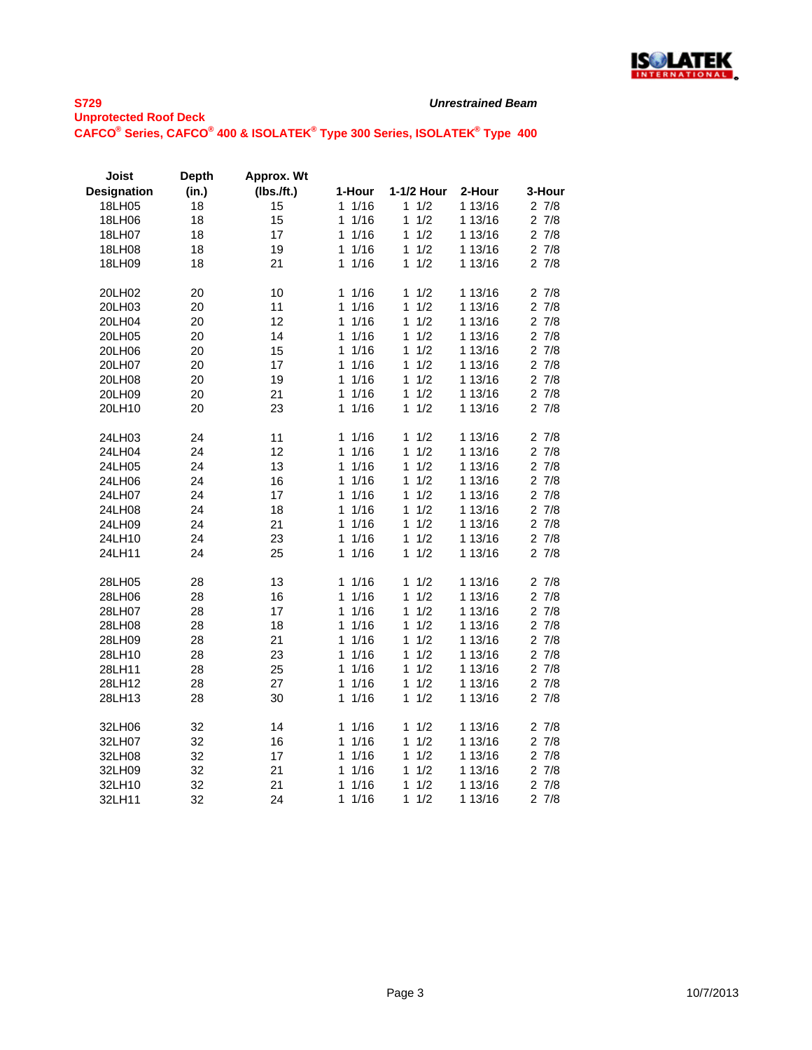

| Joist              | <b>Depth</b> | Approx. Wt |           |            |         |           |
|--------------------|--------------|------------|-----------|------------|---------|-----------|
| <b>Designation</b> | (in.)        | (Ibs.ft.)  | 1-Hour    | 1-1/2 Hour | 2-Hour  | 3-Hour    |
| 18LH05             | 18           | 15         | 1/16<br>1 | 1/2<br>1   | 1 13/16 | 27/8      |
| 18LH06             | 18           | 15         | 1/16<br>1 | 1/2<br>1   | 1 13/16 | 27/8      |
| 18LH07             | 18           | 17         | 1/16<br>1 | 1<br>1/2   | 1 13/16 | 27/8      |
| 18LH08             | 18           | 19         | 1/16<br>1 | 1/2<br>1   | 1 13/16 | 27/8      |
| 18LH09             | 18           | 21         | 1/16<br>1 | 1/2<br>1   | 1 13/16 | 27/8      |
| 20LH02             | 20           | 10         | 1/16<br>1 | 1<br>1/2   | 1 13/16 | 27/8      |
| 20LH03             | 20           | 11         | 1<br>1/16 | 1/2<br>1   | 1 13/16 | 27/8      |
| 20LH04             | 20           | 12         | 1/16<br>1 | 1<br>1/2   | 1 13/16 | $2 \t7/8$ |
| 20LH05             | 20           | 14         | 1/16<br>1 | 1/2<br>1   | 1 13/16 | 27/8      |
| 20LH06             | 20           | 15         | 1/16<br>1 | 1/2<br>1   | 1 13/16 | 27/8      |
| 20LH07             | 20           | 17         | 1/16<br>1 | 1<br>1/2   | 1 13/16 | 27/8      |
| 20LH08             | 20           | 19         | 1/16<br>1 | 1<br>1/2   | 1 13/16 | 27/8      |
| 20LH09             | 20           | 21         | 1<br>1/16 | 1/2<br>1   | 1 13/16 | 27/8      |
| 20LH10             | 20           | 23         | 1/16<br>1 | 1/2<br>1   | 1 13/16 | 27/8      |
| 24LH03             | 24           | 11         | 11/16     | 1/2<br>1   | 1 13/16 | 27/8      |
| 24LH04             | 24           | 12         | 1/16<br>1 | 1<br>1/2   | 1 13/16 | 27/8      |
| 24LH05             | 24           | 13         | 1<br>1/16 | 1<br>1/2   | 1 13/16 | 27/8      |
| 24LH06             | 24           | 16         | 1/16<br>1 | 1/2<br>1   | 1 13/16 | 27/8      |
| 24LH07             | 24           | 17         | 1/16<br>1 | 1<br>1/2   | 1 13/16 | 27/8      |
| 24LH08             | 24           | 18         | 1/16<br>1 | 1/2<br>1   | 1 13/16 | 27/8      |
| 24LH09             | 24           | 21         | 1<br>1/16 | 1/2<br>1   | 1 13/16 | 27/8      |
| 24LH10             | 24           | 23         | 1<br>1/16 | 1<br>1/2   | 1 13/16 | 27/8      |
| 24LH11             | 24           | 25         | 1/16<br>1 | 1/2<br>1   | 1 13/16 | 27/8      |
| 28LH05             | 28           | 13         | 1/16<br>1 | 1/2<br>1   | 1 13/16 | 27/8      |
| 28LH06             | 28           | 16         | 1<br>1/16 | 1<br>1/2   | 1 13/16 | 27/8      |
| 28LH07             | 28           | 17         | 1/16<br>1 | 1/2<br>1   | 1 13/16 | 27/8      |
| 28LH08             | 28           | 18         | 1/16<br>1 | 1/2<br>1   | 1 13/16 | 27/8      |
| 28LH09             | 28           | 21         | 1/16<br>1 | 1/2<br>1   | 1 13/16 | 27/8      |
| 28LH10             | 28           | 23         | 1/16<br>1 | 1/2<br>1   | 1 13/16 | 27/8      |
| 28LH11             | 28           | 25         | 1/16<br>1 | 1<br>1/2   | 1 13/16 | 27/8      |
| 28LH12             | 28           | 27         | 1/16<br>1 | 1<br>1/2   | 1 13/16 | $2 \t7/8$ |
| 28LH13             | 28           | 30         | 1/16<br>1 | 1/2<br>1   | 1 13/16 | 27/8      |
| 32LH06             | 32           | 14         | 1/16<br>1 | 1/2<br>1   | 1 13/16 | 27/8      |
| 32LH07             | 32           | 16         | 1/16<br>1 | 1/2<br>1   | 1 13/16 | 27/8      |
| 32LH08             | 32           | 17         | 1/16<br>1 | 1/2<br>1   | 1 13/16 | 27/8      |
| 32LH09             | 32           | 21         | 1/16<br>1 | 1<br>1/2   | 1 13/16 | 27/8      |
| 32LH10             | 32           | 21         | 1/16<br>1 | 1/2<br>1   | 1 13/16 | 27/8      |
| 32LH11             | 32           | 24         | 1<br>1/16 | 1<br>1/2   | 1 13/16 | 27/8      |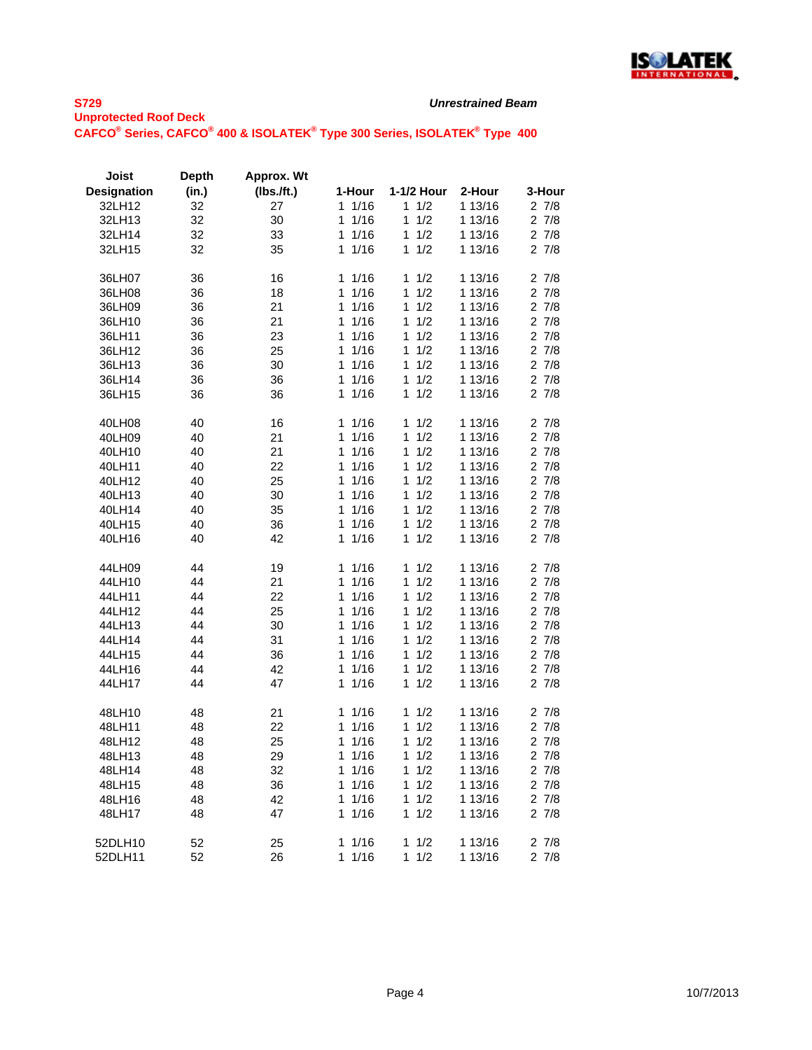

| Joist              | <b>Depth</b> | Approx. Wt |           |            |         |           |
|--------------------|--------------|------------|-----------|------------|---------|-----------|
| <b>Designation</b> | (in.)        | (Ibs.ft.)  | 1-Hour    | 1-1/2 Hour | 2-Hour  | 3-Hour    |
| 32LH12             | 32           | 27         | 1/16<br>1 | 1/2<br>1   | 1 13/16 | 27/8      |
| 32LH13             | 32           | 30         | 1<br>1/16 | 1<br>1/2   | 1 13/16 | 27/8      |
| 32LH14             | 32           | 33         | 1<br>1/16 | 1/2<br>1   | 1 13/16 | 27/8      |
| 32LH15             | 32           | 35         | 1<br>1/16 | 1/2<br>1   | 1 13/16 | 27/8      |
|                    |              |            |           |            |         |           |
| 36LH07             | 36           | 16         | 1/16<br>1 | 1<br>1/2   | 1 13/16 | 27/8      |
| 36LH08             | 36           | 18         | 1<br>1/16 | 1<br>1/2   | 1 13/16 | 27/8      |
| 36LH09             | 36           | 21         | 1<br>1/16 | 1<br>1/2   | 1 13/16 | 27/8      |
| 36LH10             | 36           | 21         | 1/16<br>1 | 1<br>1/2   | 1 13/16 | 27/8      |
| 36LH11             | 36           | 23         | 1<br>1/16 | 1<br>1/2   | 1 13/16 | 27/8      |
|                    |              |            | 1         | 1          |         |           |
| 36LH12             | 36           | 25         | 1/16<br>1 | 1/2<br>1   | 1 13/16 | 27/8      |
| 36LH13             | 36           | 30         | 1/16      | 1/2        | 1 13/16 | 27/8      |
| 36LH14             | 36           | 36         | 1/16<br>1 | 1/2<br>1   | 1 13/16 | 27/8      |
| 36LH15             | 36           | 36         | 1/16<br>1 | 1/2<br>1   | 1 13/16 | 27/8      |
| 40LH08             | 40           | 16         | 1/16<br>1 | 1/2<br>1   | 1 13/16 | 27/8      |
| 40LH09             | 40           | 21         | 1<br>1/16 | 1<br>1/2   | 1 13/16 | 27/8      |
| 40LH10             | 40           | 21         | 1/16<br>1 | 1/2<br>1   | 1 13/16 | 27/8      |
| 40LH11             | 40           | 22         | 1<br>1/16 | 1/2<br>1   | 1 13/16 | 27/8      |
| 40LH12             | 40           | 25         | 1/16<br>1 | 1/2<br>1   | 1 13/16 | 27/8      |
| 40LH13             | 40           | 30         | 1/16<br>1 | 1/2<br>1   | 1 13/16 | 27/8      |
| 40LH14             | 40           | 35         | 1/16<br>1 | 1/2<br>1   | 1 13/16 | 27/8      |
| 40LH15             | 40           | 36         | 1<br>1/16 | 1<br>1/2   | 1 13/16 | 2 7/8     |
| 40LH16             | 40           | 42         | 1<br>1/16 | 1/2<br>1   | 1 13/16 | 27/8      |
|                    |              |            |           |            |         |           |
| 44LH09             | 44           | 19         | 1<br>1/16 | 1/2<br>1   | 1 13/16 | 27/8      |
| 44LH10             | 44           | 21         | 1<br>1/16 | 1<br>1/2   | 1 13/16 | $2 \t7/8$ |
| 44LH11             | 44           | 22         | 1/16<br>1 | 1/2<br>1   | 1 13/16 | 27/8      |
| 44LH12             | 44           | 25         | 1/16<br>1 | 1/2<br>1   | 1 13/16 | 27/8      |
| 44LH13             | 44           | 30         | 1/16<br>1 | 1/2<br>1   | 1 13/16 | 27/8      |
| 44LH14             | 44           | 31         | 1/16<br>1 | 1<br>1/2   | 1 13/16 | 27/8      |
| 44LH15             | 44           | 36         | 1/16<br>1 | 1/2<br>1   | 1 13/16 | 27/8      |
| 44LH16             | 44           | 42         | 1/16<br>1 | 1<br>1/2   | 1 13/16 | 27/8      |
| 44LH17             | 44           | 47         | 1<br>1/16 | 1<br>1/2   | 1 13/16 | 27/8      |
|                    |              |            |           |            |         |           |
| 48LH10             | 48           | 21         | 1/16<br>1 | 1<br>1/2   | 1 13/16 | 27/8      |
| 48LH11             | 48           | 22         | 1<br>1/16 | 1/2<br>1   | 1 13/16 | 27/8      |
| 48LH12             | 48           | 25         | 1<br>1/16 | 1/2<br>1   | 1 13/16 | 27/8      |
| 48LH13             | 48           | 29         | 1<br>1/16 | 1/2<br>1   | 1 13/16 | $2 \t7/8$ |
| 48LH14             | 48           | 32         | 1<br>1/16 | 1/2<br>1   | 1 13/16 | 27/8      |
| 48LH15             | 48           | 36         | 1<br>1/16 | 1/2<br>1   | 1 13/16 | 27/8      |
| 48LH16             | 48           | 42         | 1<br>1/16 | 1<br>1/2   | 1 13/16 | 27/8      |
| 48LH17             | 48           | 47         | 1/16<br>1 | 1/2<br>1   | 1 13/16 | 27/8      |
|                    |              |            |           |            |         |           |
| 52DLH10            | 52           | 25         | 1/16<br>1 | 1<br>1/2   | 1 13/16 | 27/8      |
| 52DLH11            | 52           | 26         | 1<br>1/16 | 1<br>1/2   | 1 13/16 | 27/8      |